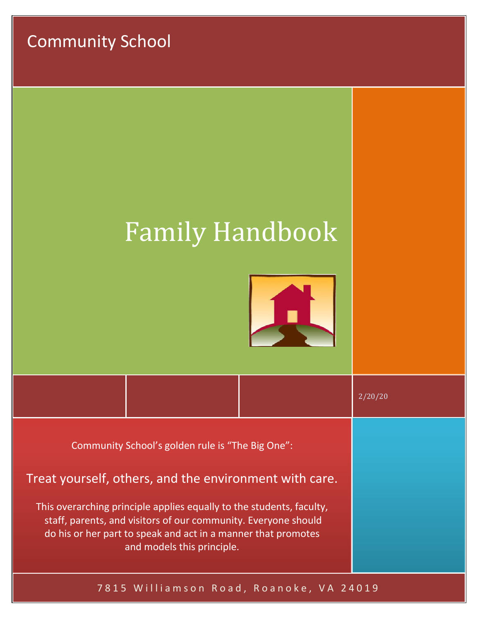Community School

# Family Handbook



|                                                                                                                                                                                                                                       |  |  | 2/20/20 |
|---------------------------------------------------------------------------------------------------------------------------------------------------------------------------------------------------------------------------------------|--|--|---------|
| Community School's golden rule is "The Big One":                                                                                                                                                                                      |  |  |         |
| Treat yourself, others, and the environment with care.                                                                                                                                                                                |  |  |         |
| This overarching principle applies equally to the students, faculty,<br>staff, parents, and visitors of our community. Everyone should<br>do his or her part to speak and act in a manner that promotes<br>and models this principle. |  |  |         |

# 7815 Williamson Road, Roanoke, VA 24019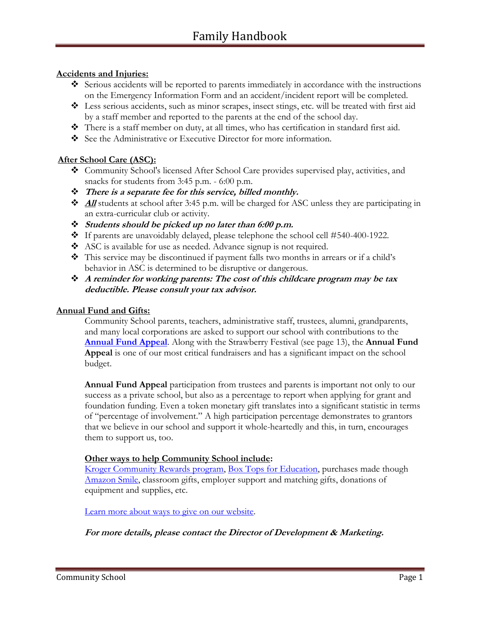## **Accidents and Injuries:**

- ❖ Serious accidents will be reported to parents immediately in accordance with the instructions on the Emergency Information Form and an accident/incident report will be completed.
- ❖ Less serious accidents, such as minor scrapes, insect stings, etc. will be treated with first aid by a staff member and reported to the parents at the end of the school day.
- ❖ There is a staff member on duty, at all times, who has certification in standard first aid.
- ❖ See the Administrative or Executive Director for more information.

## **After School Care (ASC):**

- ❖ Community School's licensed After School Care provides supervised play, activities, and snacks for students from 3:45 p.m. - 6:00 p.m.
- ❖ **There is a separate fee for this service, billed monthly.**
- ❖ **All** students at school after 3:45 p.m. will be charged for ASC unless they are participating in an extra-curricular club or activity.
- ❖ **Students should be picked up no later than 6:00 p.m.**
- ❖ If parents are unavoidably delayed, please telephone the school cell #540-400-1922.
- ❖ ASC is available for use as needed. Advance signup is not required.
- ❖ This service may be discontinued if payment falls two months in arrears or if a child's behavior in ASC is determined to be disruptive or dangerous.
- ❖ **A reminder for working parents: The cost of this childcare program may be tax deductible. Please consult your tax advisor.**

#### **Annual Fund and Gifts:**

Community School parents, teachers, administrative staff, trustees, alumni, grandparents, and many local corporations are asked to support our school with contributions to the **[Annual Fund Appeal](http://www.communityschool.net/give/)**. Along with the Strawberry Festival (see page 13), the **Annual Fund Appeal** is one of our most critical fundraisers and has a significant impact on the school budget.

**Annual Fund Appeal** participation from trustees and parents is important not only to our success as a private school, but also as a percentage to report when applying for grant and foundation funding. Even a token monetary gift translates into a significant statistic in terms of "percentage of involvement." A high participation percentage demonstrates to grantors that we believe in our school and support it whole-heartedly and this, in turn, encourages them to support us, too.

#### **Other ways to help Community School include:**

[Kroger Community Rewards program,](https://www.kroger.com/account/enrollCommunityRewardsNow/) [Box Tops for Education,](https://www.boxtops4education.com/) purchases made though [Amazon](http://smile.amazon.com/ch/23-7120875) Smile, classroom gifts, employer support and matching gifts, donations of equipment and supplies, etc.

[Learn more about ways to give on our website.](http://www.communityschool.net/ways-to-give/)

**For more details, please contact the Director of Development & Marketing.**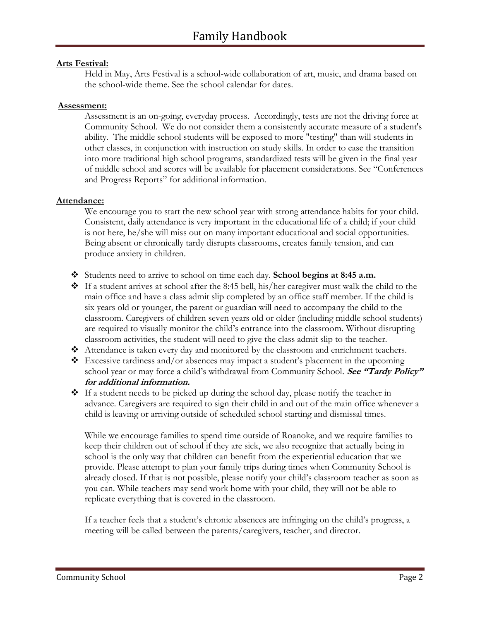# **Arts Festival:**

Held in May, Arts Festival is a school-wide collaboration of art, music, and drama based on the school-wide theme. See the school calendar for dates.

#### **Assessment:**

Assessment is an on-going, everyday process. Accordingly, tests are not the driving force at Community School. We do not consider them a consistently accurate measure of a student's ability. The middle school students will be exposed to more "testing" than will students in other classes, in conjunction with instruction on study skills. In order to ease the transition into more traditional high school programs, standardized tests will be given in the final year of middle school and scores will be available for placement considerations. See "Conferences and Progress Reports" for additional information.

## **Attendance:**

We encourage you to start the new school year with strong attendance habits for your child. Consistent, daily attendance is very important in the educational life of a child; if your child is not here, he/she will miss out on many important educational and social opportunities. Being absent or chronically tardy disrupts classrooms, creates family tension, and can produce anxiety in children.

- ❖ Students need to arrive to school on time each day. **School begins at 8:45 a.m.**
- ❖ If a student arrives at school after the 8:45 bell, his/her caregiver must walk the child to the main office and have a class admit slip completed by an office staff member. If the child is six years old or younger, the parent or guardian will need to accompany the child to the classroom. Caregivers of children seven years old or older (including middle school students) are required to visually monitor the child's entrance into the classroom. Without disrupting classroom activities, the student will need to give the class admit slip to the teacher.
- ❖ Attendance is taken every day and monitored by the classroom and enrichment teachers.
- $\triangle$  Excessive tardiness and/or absences may impact a student's placement in the upcoming school year or may force a child's withdrawal from Community School. **See "Tardy Policy" for additional information.**
- ❖ If a student needs to be picked up during the school day, please notify the teacher in advance. Caregivers are required to sign their child in and out of the main office whenever a child is leaving or arriving outside of scheduled school starting and dismissal times.

While we encourage families to spend time outside of Roanoke, and we require families to keep their children out of school if they are sick, we also recognize that actually being in school is the only way that children can benefit from the experiential education that we provide. Please attempt to plan your family trips during times when Community School is already closed. If that is not possible, please notify your child's classroom teacher as soon as you can. While teachers may send work home with your child, they will not be able to replicate everything that is covered in the classroom.

If a teacher feels that a student's chronic absences are infringing on the child's progress, a meeting will be called between the parents/caregivers, teacher, and director.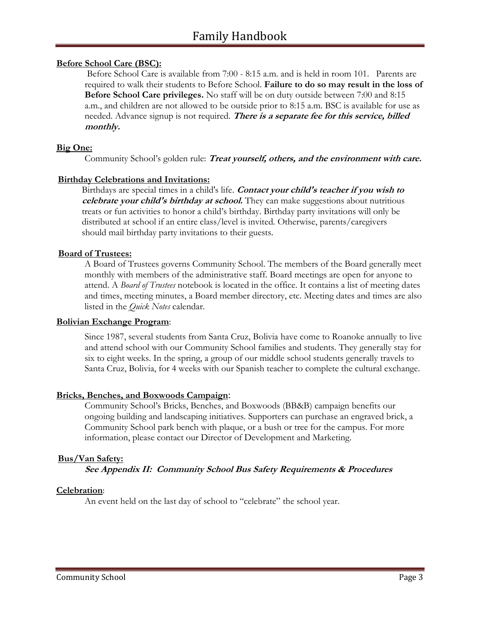#### **Before School Care (BSC):**

Before School Care is available from 7:00 - 8:15 a.m. and is held in room 101. Parents are required to walk their students to Before School. **Failure to do so may result in the loss of Before School Care privileges.** No staff will be on duty outside between 7:00 and 8:15 a.m., and children are not allowed to be outside prior to 8:15 a.m. BSC is available for use as needed. Advance signup is not required. **There is a separate fee for this service, billed monthly.**

#### **Big One:**

Community School's golden rule: **Treat yourself, others, and the environment with care.**

#### **Birthday Celebrations and Invitations:**

Birthdays are special times in a child's life. **Contact your child's teacher if you wish to**  *celebrate your child's birthday at school.* They can make suggestions about nutritious treats or fun activities to honor a child's birthday. Birthday party invitations will only be distributed at school if an entire class/level is invited. Otherwise, parents/caregivers should mail birthday party invitations to their guests.

#### **Board of Trustees:**

A Board of Trustees governs Community School. The members of the Board generally meet monthly with members of the administrative staff. Board meetings are open for anyone to attend. A *Board of Trustees* notebook is located in the office. It contains a list of meeting dates and times, meeting minutes, a Board member directory, etc. Meeting dates and times are also listed in the *Quick Notes* calendar.

#### **Bolivian Exchange Program**:

Since 1987, several students from Santa Cruz, Bolivia have come to Roanoke annually to live and attend school with our Community School families and students. They generally stay for six to eight weeks. In the spring, a group of our middle school students generally travels to Santa Cruz, Bolivia, for 4 weeks with our Spanish teacher to complete the cultural exchange.

#### **Bricks, Benches, and Boxwoods Campaign**:

Community School's Bricks, Benches, and Boxwoods (BB&B) campaign benefits our ongoing building and landscaping initiatives. Supporters can purchase an engraved brick, a Community School park bench with plaque, or a bush or tree for the campus. For more information, please contact our Director of Development and Marketing.

#### **Bus/Van Safety:**

**See Appendix II: Community School Bus Safety Requirements & Procedures**

#### **Celebration**:

An event held on the last day of school to "celebrate" the school year.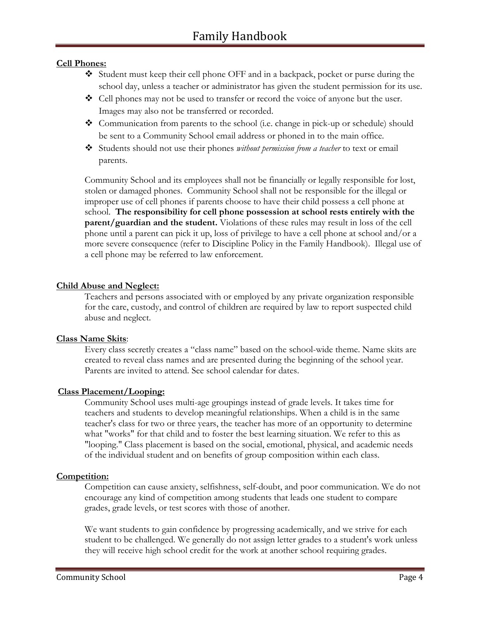## **Cell Phones:**

- ❖ Student must keep their cell phone OFF and in a backpack, pocket or purse during the school day, unless a teacher or administrator has given the student permission for its use.
- ❖ Cell phones may not be used to transfer or record the voice of anyone but the user. Images may also not be transferred or recorded.
- $\bullet$  Communication from parents to the school (i.e. change in pick-up or schedule) should be sent to a Community School email address or phoned in to the main office.
- ❖ Students should not use their phones *without permission from a teacher* to text or email parents.

Community School and its employees shall not be financially or legally responsible for lost, stolen or damaged phones. Community School shall not be responsible for the illegal or improper use of cell phones if parents choose to have their child possess a cell phone at school. **The responsibility for cell phone possession at school rests entirely with the parent/guardian and the student.** Violations of these rules may result in loss of the cell phone until a parent can pick it up, loss of privilege to have a cell phone at school and/or a more severe consequence (refer to Discipline Policy in the Family Handbook). Illegal use of a cell phone may be referred to law enforcement.

#### **Child Abuse and Neglect:**

Teachers and persons associated with or employed by any private organization responsible for the care, custody, and control of children are required by law to report suspected child abuse and neglect.

#### **Class Name Skits**:

Every class secretly creates a "class name" based on the school-wide theme. Name skits are created to reveal class names and are presented during the beginning of the school year. Parents are invited to attend. See school calendar for dates.

# **Class Placement/Looping:**

Community School uses multi-age groupings instead of grade levels. It takes time for teachers and students to develop meaningful relationships. When a child is in the same teacher's class for two or three years, the teacher has more of an opportunity to determine what "works" for that child and to foster the best learning situation. We refer to this as "looping." Class placement is based on the social, emotional, physical, and academic needs of the individual student and on benefits of group composition within each class.

#### **Competition:**

Competition can cause anxiety, selfishness, self-doubt, and poor communication. We do not encourage any kind of competition among students that leads one student to compare grades, grade levels, or test scores with those of another.

We want students to gain confidence by progressing academically, and we strive for each student to be challenged. We generally do not assign letter grades to a student's work unless they will receive high school credit for the work at another school requiring grades.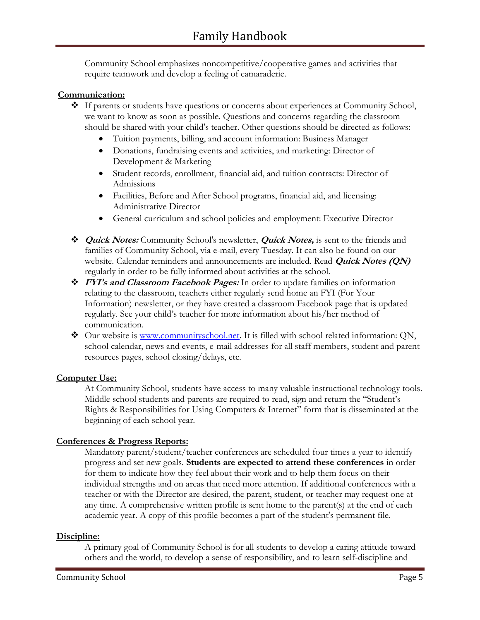Community School emphasizes noncompetitive/cooperative games and activities that require teamwork and develop a feeling of camaraderie.

## **Communication:**

- ❖ If parents or students have questions or concerns about experiences at Community School, we want to know as soon as possible. Questions and concerns regarding the classroom should be shared with your child's teacher. Other questions should be directed as follows:
	- Tuition payments, billing, and account information: Business Manager
	- Donations, fundraising events and activities, and marketing: Director of Development & Marketing
	- Student records, enrollment, financial aid, and tuition contracts: Director of Admissions
	- Facilities, Before and After School programs, financial aid, and licensing: Administrative Director
	- General curriculum and school policies and employment: Executive Director
- ❖ **Quick Notes:** Community School's newsletter, **Quick Notes,** is sent to the friends and families of Community School, via e-mail, every Tuesday. It can also be found on our website. Calendar reminders and announcements are included. Read **Quick Notes (QN)**  regularly in order to be fully informed about activities at the school.
- ❖ **FYI's and Classroom Facebook Pages:** In order to update families on information relating to the classroom, teachers either regularly send home an FYI (For Your Information) newsletter, or they have created a classroom Facebook page that is updated regularly. See your child's teacher for more information about his/her method of communication.
- ❖ Our website is [www.communityschool.net.](http://www.communityschool.net/) It is filled with school related information: QN, school calendar, news and events, e-mail addresses for all staff members, student and parent resources pages, school closing/delays, etc.

#### **Computer Use:**

At Community School, students have access to many valuable instructional technology tools. Middle school students and parents are required to read, sign and return the "Student's Rights & Responsibilities for Using Computers & Internet" form that is disseminated at the beginning of each school year.

#### **Conferences & Progress Reports:**

Mandatory parent/student/teacher conferences are scheduled four times a year to identify progress and set new goals. **Students are expected to attend these conferences** in order for them to indicate how they feel about their work and to help them focus on their individual strengths and on areas that need more attention. If additional conferences with a teacher or with the Director are desired, the parent, student, or teacher may request one at any time. A comprehensive written profile is sent home to the parent(s) at the end of each academic year. A copy of this profile becomes a part of the student's permanent file.

#### **Discipline:**

A primary goal of Community School is for all students to develop a caring attitude toward others and the world, to develop a sense of responsibility, and to learn self-discipline and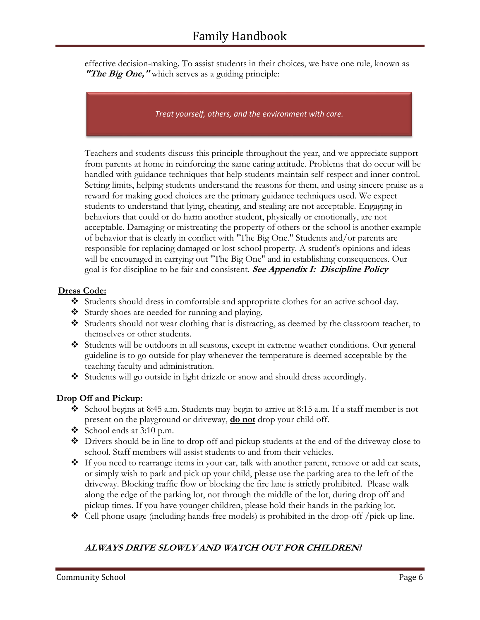effective decision-making. To assist students in their choices, we have one rule, known as **"The Big One,"** which serves as a guiding principle:

*Treat yourself, others, and the environment with care.*

Teachers and students discuss this principle throughout the year, and we appreciate support from parents at home in reinforcing the same caring attitude. Problems that do occur will be handled with guidance techniques that help students maintain self-respect and inner control. Setting limits, helping students understand the reasons for them, and using sincere praise as a reward for making good choices are the primary guidance techniques used. We expect students to understand that lying, cheating, and stealing are not acceptable. Engaging in behaviors that could or do harm another student, physically or emotionally, are not acceptable. Damaging or mistreating the property of others or the school is another example of behavior that is clearly in conflict with "The Big One." Students and/or parents are responsible for replacing damaged or lost school property. A student's opinions and ideas will be encouraged in carrying out "The Big One" and in establishing consequences. Our goal is for discipline to be fair and consistent. **See Appendix I: Discipline Policy**

#### **Dress Code:**

- ❖ Students should dress in comfortable and appropriate clothes for an active school day.
- ❖ Sturdy shoes are needed for running and playing.
- ❖ Students should not wear clothing that is distracting, as deemed by the classroom teacher, to themselves or other students.
- ❖ Students will be outdoors in all seasons, except in extreme weather conditions. Our general guideline is to go outside for play whenever the temperature is deemed acceptable by the teaching faculty and administration.
- ❖ Students will go outside in light drizzle or snow and should dress accordingly.

# **Drop Off and Pickup:**

- ❖ School begins at 8:45 a.m. Students may begin to arrive at 8:15 a.m. If a staff member is not present on the playground or driveway, **do not** drop your child off.
- $\div$  School ends at 3:10 p.m.
- ❖ Drivers should be in line to drop off and pickup students at the end of the driveway close to school. Staff members will assist students to and from their vehicles.
- ❖ If you need to rearrange items in your car, talk with another parent, remove or add car seats, or simply wish to park and pick up your child, please use the parking area to the left of the driveway. Blocking traffic flow or blocking the fire lane is strictly prohibited. Please walk along the edge of the parking lot, not through the middle of the lot, during drop off and pickup times. If you have younger children, please hold their hands in the parking lot.
- ❖ Cell phone usage (including hands-free models) is prohibited in the drop-off /pick-up line.

# **ALWAYS DRIVE SLOWLY AND WATCH OUT FOR CHILDREN!**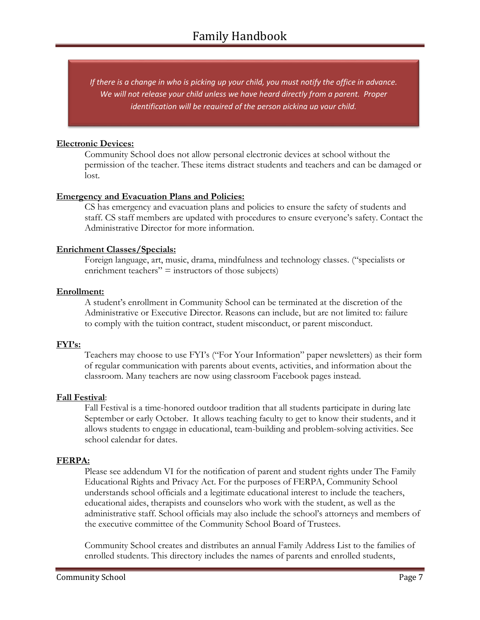*If there is a change in who is picking up your child, you must notify the office in advance. We will not release your child unless we have heard directly from a parent. Proper identification will be required of the person picking up your child.*

#### **Electronic Devices:**

Community School does not allow personal electronic devices at school without the permission of the teacher. These items distract students and teachers and can be damaged or lost.

## **Emergency and Evacuation Plans and Policies:**

CS has emergency and evacuation plans and policies to ensure the safety of students and staff. CS staff members are updated with procedures to ensure everyone's safety. Contact the Administrative Director for more information.

## **Enrichment Classes/Specials:**

Foreign language, art, music, drama, mindfulness and technology classes. ("specialists or enrichment teachers"  $=$  instructors of those subjects)

## **Enrollment:**

A student's enrollment in Community School can be terminated at the discretion of the Administrative or Executive Director. Reasons can include, but are not limited to: failure to comply with the tuition contract, student misconduct, or parent misconduct.

# **FYI's:**

Teachers may choose to use FYI's ("For Your Information" paper newsletters) as their form of regular communication with parents about events, activities, and information about the classroom. Many teachers are now using classroom Facebook pages instead.

#### **Fall Festival**:

Fall Festival is a time-honored outdoor tradition that all students participate in during late September or early October. It allows teaching faculty to get to know their students, and it allows students to engage in educational, team-building and problem-solving activities. See school calendar for dates.

# **FERPA:**

Please see addendum VI for the notification of parent and student rights under The Family Educational Rights and Privacy Act. For the purposes of FERPA, Community School understands school officials and a legitimate educational interest to include the teachers, educational aides, therapists and counselors who work with the student, as well as the administrative staff. School officials may also include the school's attorneys and members of the executive committee of the Community School Board of Trustees.

Community School creates and distributes an annual Family Address List to the families of enrolled students. This directory includes the names of parents and enrolled students,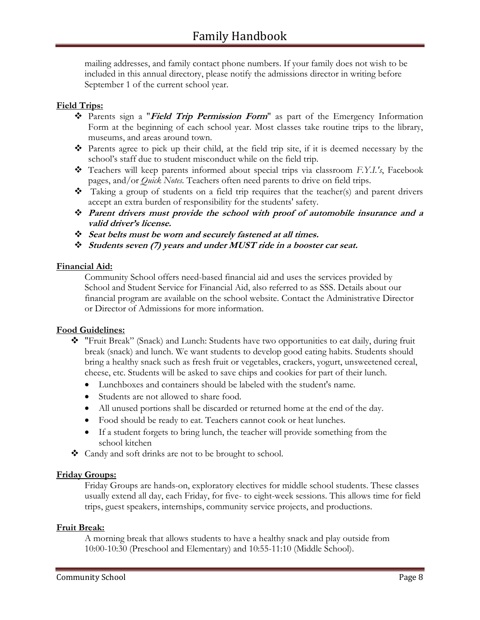mailing addresses, and family contact phone numbers. If your family does not wish to be included in this annual directory, please notify the admissions director in writing before September 1 of the current school year.

# **Field Trips:**

- ❖ Parents sign a "**Field Trip Permission Form**" as part of the Emergency Information Form at the beginning of each school year. Most classes take routine trips to the library, museums, and areas around town.
- ❖ Parents agree to pick up their child, at the field trip site, if it is deemed necessary by the school's staff due to student misconduct while on the field trip.
- ❖ Teachers will keep parents informed about special trips via classroom *F.Y.I.'s*, Facebook pages, and/or *Quick Notes.* Teachers often need parents to drive on field trips.
- $\bullet$  Taking a group of students on a field trip requires that the teacher(s) and parent drivers accept an extra burden of responsibility for the students' safety.
- ❖ **Parent drivers must provide the school with proof of automobile insurance and a valid driver's license.**
- ❖ **Seat belts must be worn and securely fastened at all times.**
- ❖ **Students seven (7) years and under MUST ride in a booster car seat.**

## **Financial Aid:**

Community School offers need-based financial aid and uses the services provided by School and Student Service for Financial Aid, also referred to as SSS. Details about our financial program are available on the school website. Contact the Administrative Director or Director of Admissions for more information.

#### **Food Guidelines:**

- ❖ "Fruit Break" (Snack) and Lunch: Students have two opportunities to eat daily, during fruit break (snack) and lunch. We want students to develop good eating habits. Students should bring a healthy snack such as fresh fruit or vegetables, crackers, yogurt, unsweetened cereal, cheese, etc. Students will be asked to save chips and cookies for part of their lunch.
	- Lunchboxes and containers should be labeled with the student's name.
	- Students are not allowed to share food.
	- All unused portions shall be discarded or returned home at the end of the day.
	- Food should be ready to eat. Teachers cannot cook or heat lunches.
	- If a student forgets to bring lunch, the teacher will provide something from the school kitchen
- ❖ Candy and soft drinks are not to be brought to school.

#### **Friday Groups:**

Friday Groups are hands-on, exploratory electives for middle school students. These classes usually extend all day, each Friday, for five- to eight-week sessions. This allows time for field trips, guest speakers, internships, community service projects, and productions.

#### **Fruit Break:**

A morning break that allows students to have a healthy snack and play outside from 10:00-10:30 (Preschool and Elementary) and 10:55-11:10 (Middle School).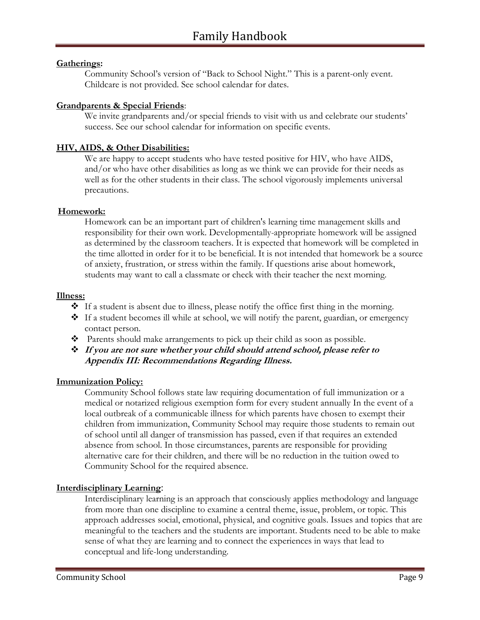## **Gatherings:**

Community School's version of "Back to School Night." This is a parent-only event. Childcare is not provided. See school calendar for dates.

## **Grandparents & Special Friends**:

We invite grandparents and/or special friends to visit with us and celebrate our students' success. See our school calendar for information on specific events.

# **HIV, AIDS, & Other Disabilities:**

We are happy to accept students who have tested positive for HIV, who have AIDS, and/or who have other disabilities as long as we think we can provide for their needs as well as for the other students in their class. The school vigorously implements universal precautions.

#### **Homework:**

Homework can be an important part of children's learning time management skills and responsibility for their own work. Developmentally-appropriate homework will be assigned as determined by the classroom teachers. It is expected that homework will be completed in the time allotted in order for it to be beneficial. It is not intended that homework be a source of anxiety, frustration, or stress within the family. If questions arise about homework, students may want to call a classmate or check with their teacher the next morning.

#### **Illness:**

- ❖ If a student is absent due to illness, please notify the office first thing in the morning.
- ❖ If a student becomes ill while at school, we will notify the parent, guardian, or emergency contact person.
- ❖ Parents should make arrangements to pick up their child as soon as possible.
- ❖ **If you are not sure whether your child should attend school, please refer to Appendix III: Recommendations Regarding Illness.**

#### **Immunization Policy:**

Community School follows state law requiring documentation of full immunization or a medical or notarized religious exemption form for every student annually In the event of a local outbreak of a communicable illness for which parents have chosen to exempt their children from immunization, Community School may require those students to remain out of school until all danger of transmission has passed, even if that requires an extended absence from school. In those circumstances, parents are responsible for providing alternative care for their children, and there will be no reduction in the tuition owed to Community School for the required absence.

#### **Interdisciplinary Learning**:

Interdisciplinary learning is an approach that consciously applies methodology and language from more than one discipline to examine a central theme, issue, problem, or topic. This approach addresses social, emotional, physical, and cognitive goals. Issues and topics that are meaningful to the teachers and the students are important. Students need to be able to make sense of what they are learning and to connect the experiences in ways that lead to conceptual and life-long understanding.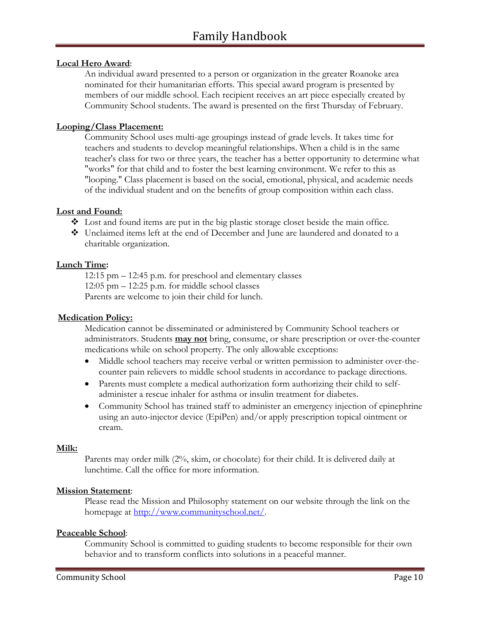## **Local Hero Award**:

An individual award presented to a person or organization in the greater Roanoke area nominated for their humanitarian efforts. This special award program is presented by members of our middle school. Each recipient receives an art piece especially created by Community School students. The award is presented on the first Thursday of February.

#### **Looping/Class Placement:**

Community School uses multi-age groupings instead of grade levels. It takes time for teachers and students to develop meaningful relationships. When a child is in the same teacher's class for two or three years, the teacher has a better opportunity to determine what "works" for that child and to foster the best learning environment. We refer to this as "looping." Class placement is based on the social, emotional, physical, and academic needs of the individual student and on the benefits of group composition within each class.

#### **Lost and Found:**

- $\triangle$  Lost and found items are put in the big plastic storage closet beside the main office.
- ❖ Unclaimed items left at the end of December and June are laundered and donated to a charitable organization.

#### **Lunch Time:**

12:15 pm – 12:45 p.m. for preschool and elementary classes 12:05 pm – 12:25 p.m. for middle school classes Parents are welcome to join their child for lunch.

#### **Medication Policy:**

Medication cannot be disseminated or administered by Community School teachers or administrators. Students **may not** bring, consume, or share prescription or over-the-counter medications while on school property. The only allowable exceptions:

- Middle school teachers may receive verbal or written permission to administer over-thecounter pain relievers to middle school students in accordance to package directions.
- Parents must complete a medical authorization form authorizing their child to selfadminister a rescue inhaler for asthma or insulin treatment for diabetes.
- Community School has trained staff to administer an emergency injection of epinephrine using an auto-injector device (EpiPen) and/or apply prescription topical ointment or cream.

#### **Milk:**

Parents may order milk (2%, skim, or chocolate) for their child. It is delivered daily at lunchtime. Call the office for more information.

#### **Mission Statement**:

Please read the Mission and Philosophy statement on our website through the link on the homepage at [http://www.communityschool.net/.](http://www.communityschool.net/)

#### **Peaceable School**:

Community School is committed to guiding students to become responsible for their own behavior and to transform conflicts into solutions in a peaceful manner.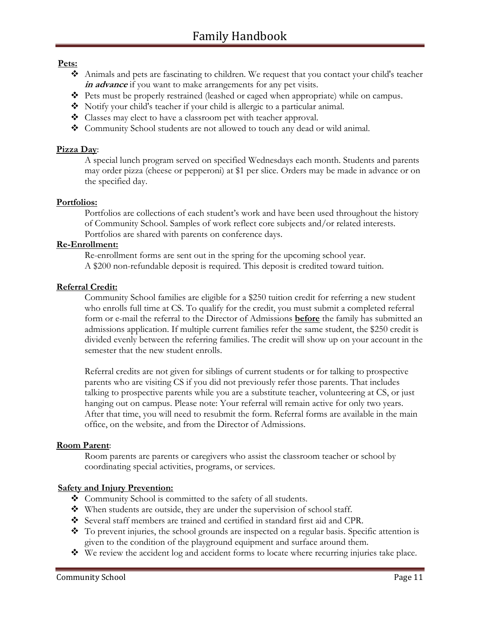# **Pets:**

- ❖ Animals and pets are fascinating to children. We request that you contact your child's teacher **in advance** if you want to make arrangements for any pet visits.
- ❖ Pets must be properly restrained (leashed or caged when appropriate) while on campus.
- ❖ Notify your child's teacher if your child is allergic to a particular animal.
- ❖ Classes may elect to have a classroom pet with teacher approval.
- ❖ Community School students are not allowed to touch any dead or wild animal.

# **Pizza Day**:

A special lunch program served on specified Wednesdays each month. Students and parents may order pizza (cheese or pepperoni) at \$1 per slice. Orders may be made in advance or on the specified day.

# **Portfolios:**

Portfolios are collections of each student's work and have been used throughout the history of Community School. Samples of work reflect core subjects and/or related interests. Portfolios are shared with parents on conference days.

# **Re-Enrollment:**

Re-enrollment forms are sent out in the spring for the upcoming school year. A \$200 non-refundable deposit is required. This deposit is credited toward tuition.

# **Referral Credit:**

Community School families are eligible for a \$250 tuition credit for referring a new student who enrolls full time at CS. To qualify for the credit, you must submit a completed referral form or e-mail the referral to the Director of Admissions **before** the family has submitted an admissions application. If multiple current families refer the same student, the \$250 credit is divided evenly between the referring families. The credit will show up on your account in the semester that the new student enrolls.

Referral credits are not given for siblings of current students or for talking to prospective parents who are visiting CS if you did not previously refer those parents. That includes talking to prospective parents while you are a substitute teacher, volunteering at CS, or just hanging out on campus. Please note: Your referral will remain active for only two years. After that time, you will need to resubmit the form. Referral forms are available in the main office, on the website, and from the Director of Admissions.

# **Room Parent**:

Room parents are parents or caregivers who assist the classroom teacher or school by coordinating special activities, programs, or services.

# **Safety and Injury Prevention:**

- ❖ Community School is committed to the safety of all students.
- ❖ When students are outside, they are under the supervision of school staff.
- ❖ Several staff members are trained and certified in standard first aid and CPR.
- ❖ To prevent injuries, the school grounds are inspected on a regular basis. Specific attention is given to the condition of the playground equipment and surface around them.
- ❖ We review the accident log and accident forms to locate where recurring injuries take place.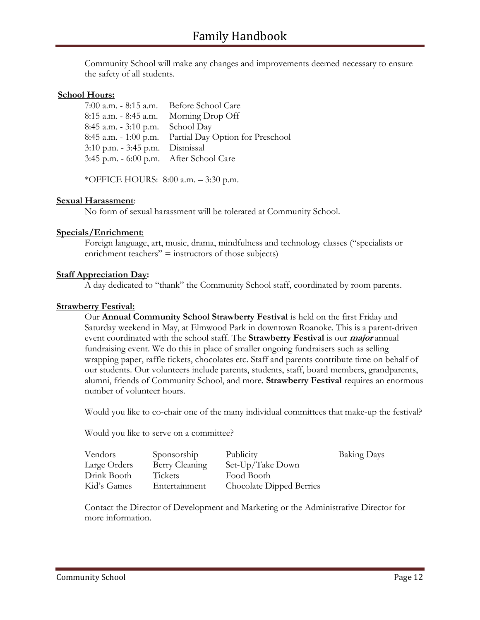Community School will make any changes and improvements deemed necessary to ensure the safety of all students.

#### **School Hours:**

| 7:00 a.m. - 8:15 a.m. Before School Care               |
|--------------------------------------------------------|
| 8:15 a.m. - 8:45 a.m. Morning Drop Off                 |
| 8:45 a.m. $-3:10$ p.m. School Day                      |
| 8:45 a.m. - 1:00 p.m. Partial Day Option for Preschool |
| 3:10 p.m. - 3:45 p.m. Dismissal                        |
| 3:45 p.m. - 6:00 p.m. After School Care                |
|                                                        |

\*OFFICE HOURS: 8:00 a.m. – 3:30 p.m.

#### **Sexual Harassment**:

No form of sexual harassment will be tolerated at Community School.

#### **Specials/Enrichment**:

Foreign language, art, music, drama, mindfulness and technology classes ("specialists or enrichment teachers"  $=$  instructors of those subjects)

#### **Staff Appreciation Day:**

A day dedicated to "thank" the Community School staff, coordinated by room parents.

#### **Strawberry Festival:**

Our **Annual Community School Strawberry Festival** is held on the first Friday and Saturday weekend in May, at Elmwood Park in downtown Roanoke. This is a parent-driven event coordinated with the school staff. The **Strawberry Festival** is our **major** annual fundraising event. We do this in place of smaller ongoing fundraisers such as selling wrapping paper, raffle tickets, chocolates etc. Staff and parents contribute time on behalf of our students. Our volunteers include parents, students, staff, board members, grandparents, alumni, friends of Community School, and more. **Strawberry Festival** requires an enormous number of volunteer hours.

Would you like to co-chair one of the many individual committees that make-up the festival?

Would you like to serve on a committee?

| Vendors      | Sponsorship    | Publicity                | <b>Baking Days</b> |
|--------------|----------------|--------------------------|--------------------|
| Large Orders | Berry Cleaning | Set-Up/Take Down         |                    |
| Drink Booth  | Tickets        | Food Booth               |                    |
| Kid's Games  | Entertainment  | Chocolate Dipped Berries |                    |

Contact the Director of Development and Marketing or the Administrative Director for more information.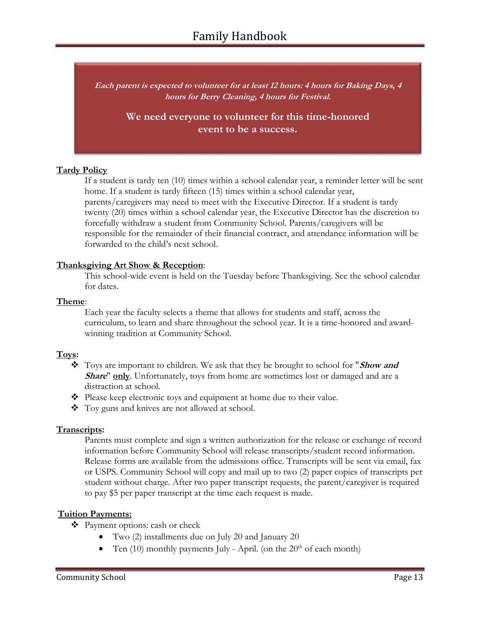**Each parent is expected to volunteer for at least 12 hours: 4 hours for Baking Days, 4 hours for Berry Cleaning, 4 hours for Festival.**

> **We need everyone to volunteer for this time-honored event to be a success.**

# **Tardy Policy**

If a student is tardy ten (10) times within a school calendar year, a reminder letter will be sent home. If a student is tardy fifteen (15) times within a school calendar year, parents/caregivers may need to meet with the Executive Director. If a student is tardy twenty (20) times within a school calendar year, the Executive Director has the discretion to forcefully withdraw a student from Community School. Parents/caregivers will be responsible for the remainder of their financial contract, and attendance information will be forwarded to the child's next school.

## **Thanksgiving Art Show & Reception**:

This school-wide event is held on the Tuesday before Thanksgiving. See the school calendar for dates.

## **Theme**:

Each year the faculty selects a theme that allows for students and staff, across the curriculum, to learn and share throughout the school year. It is a time-honored and awardwinning tradition at Community School.

# **Toys:**

- ❖ Toys are important to children. We ask that they be brought to school for "**Show and Share**" **only**. Unfortunately, toys from home are sometimes lost or damaged and are a distraction at school.
- ❖ Please keep electronic toys and equipment at home due to their value.
- ❖ Toy guns and knives are not allowed at school.

# **Transcripts:**

Parents must complete and sign a written authorization for the release or exchange of record information before Community School will release transcripts/student record information. Release forms are available from the admissions office. Transcripts will be sent via email, fax or USPS. Community School will copy and mail up to two (2) paper copies of transcripts per student without charge. After two paper transcript requests, the parent/caregiver is required to pay \$5 per paper transcript at the time each request is made.

# **Tuition Payments:**

- ❖ Payment options: cash or check
	- Two (2) installments due on July 20 and January 20
	- Ten (10) monthly payments July April. (on the  $20<sup>th</sup>$  of each month)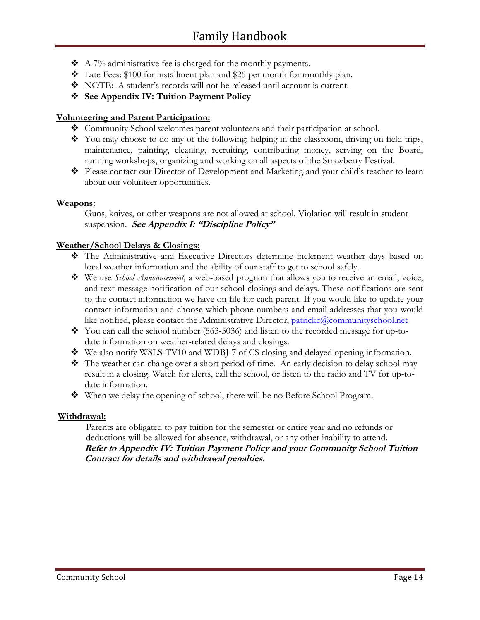- $\triangle$  A 7% administrative fee is charged for the monthly payments.
- ❖ Late Fees: \$100 for installment plan and \$25 per month for monthly plan.
- ❖ NOTE: A student's records will not be released until account is current.
- ❖ **See Appendix IV: Tuition Payment Policy**

# **Volunteering and Parent Participation:**

- ❖ Community School welcomes parent volunteers and their participation at school.
- ❖ You may choose to do any of the following: helping in the classroom, driving on field trips, maintenance, painting, cleaning, recruiting, contributing money, serving on the Board, running workshops, organizing and working on all aspects of the Strawberry Festival.
- ❖ Please contact our Director of Development and Marketing and your child's teacher to learn about our volunteer opportunities.

# **Weapons:**

Guns, knives, or other weapons are not allowed at school. Violation will result in student suspension. **See Appendix I: "Discipline Policy"**

# **Weather/School Delays & Closings:**

- ❖ The Administrative and Executive Directors determine inclement weather days based on local weather information and the ability of our staff to get to school safely.
- ❖ We use *School Announcement*, a web-based program that allows you to receive an email, voice, and text message notification of our school closings and delays. These notifications are sent to the contact information we have on file for each parent. If you would like to update your contact information and choose which phone numbers and email addresses that you would like notified, please contact the Administrative Director, [patrickc@communityschool.net](mailto:patrickc@communityschool.net)
- ❖ You can call the school number (563-5036) and listen to the recorded message for up-todate information on weather-related delays and closings.
- ❖ We also notify WSLS-TV10 and WDBJ-7 of CS closing and delayed opening information.
- ❖ The weather can change over a short period of time. An early decision to delay school may result in a closing. Watch for alerts, call the school, or listen to the radio and TV for up-todate information.
- ❖ When we delay the opening of school, there will be no Before School Program.

# **Withdrawal:**

Parents are obligated to pay tuition for the semester or entire year and no refunds or deductions will be allowed for absence, withdrawal, or any other inability to attend. **Refer to Appendix IV: Tuition Payment Policy and your Community School Tuition Contract for details and withdrawal penalties.**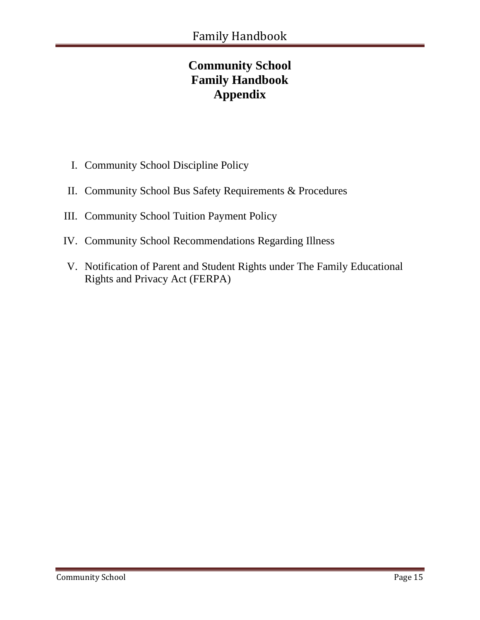# **Community School Family Handbook Appendix**

- I. Community School Discipline Policy
- II. Community School Bus Safety Requirements & Procedures
- III. Community School Tuition Payment Policy
- IV. Community School Recommendations Regarding Illness
- V. Notification of Parent and Student Rights under The Family Educational Rights and Privacy Act (FERPA)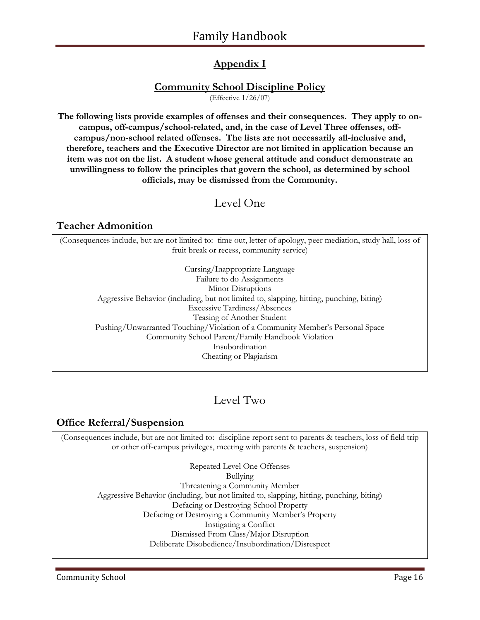# **Appendix I**

# **Community School Discipline Policy**

(Effective 1/26/07)

**The following lists provide examples of offenses and their consequences. They apply to oncampus, off-campus/school-related, and, in the case of Level Three offenses, offcampus/non-school related offenses. The lists are not necessarily all-inclusive and, therefore, teachers and the Executive Director are not limited in application because an item was not on the list. A student whose general attitude and conduct demonstrate an unwillingness to follow the principles that govern the school, as determined by school officials, may be dismissed from the Community.** 

# Level One

# **Teacher Admonition**

(Consequences include, but are not limited to: time out, letter of apology, peer mediation, study hall, loss of fruit break or recess, community service)

Cursing/Inappropriate Language Failure to do Assignments Minor Disruptions Aggressive Behavior (including, but not limited to, slapping, hitting, punching, biting) Excessive Tardiness/Absences Teasing of Another Student Pushing/Unwarranted Touching/Violation of a Community Member's Personal Space Community School Parent/Family Handbook Violation Insubordination Cheating or Plagiarism

# Level Two

# **Office Referral/Suspension**

(Consequences include, but are not limited to: discipline report sent to parents & teachers, loss of field trip or other off-campus privileges, meeting with parents & teachers, suspension)

> Repeated Level One Offenses Bullying Threatening a Community Member Aggressive Behavior (including, but not limited to, slapping, hitting, punching, biting) Defacing or Destroying School Property Defacing or Destroying a Community Member's Property Instigating a Conflict Dismissed From Class/Major Disruption Deliberate Disobedience/Insubordination/Disrespect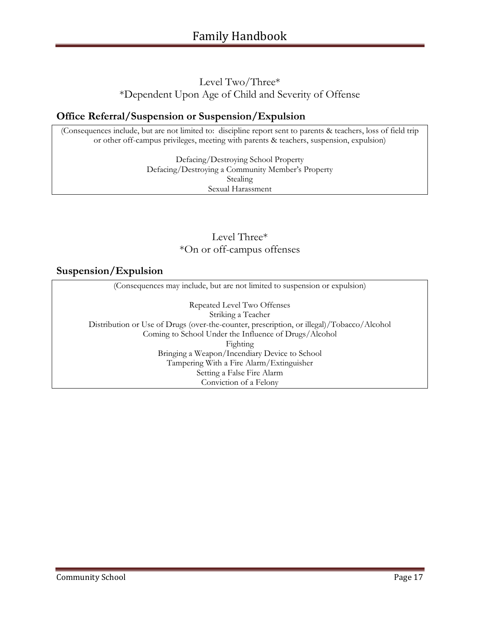# Level Two/Three\* \*Dependent Upon Age of Child and Severity of Offense

# **Office Referral/Suspension or Suspension/Expulsion**

(Consequences include, but are not limited to: discipline report sent to parents & teachers, loss of field trip or other off-campus privileges, meeting with parents & teachers, suspension, expulsion)

> Defacing/Destroying School Property Defacing/Destroying a Community Member's Property Stealing Sexual Harassment

# Level Three\* \*On or off-campus offenses

# **Suspension/Expulsion**

(Consequences may include, but are not limited to suspension or expulsion) Repeated Level Two Offenses Striking a Teacher Distribution or Use of Drugs (over-the-counter, prescription, or illegal)/Tobacco/Alcohol Coming to School Under the Influence of Drugs/Alcohol Fighting Bringing a Weapon/Incendiary Device to School Tampering With a Fire Alarm/Extinguisher Setting a False Fire Alarm Conviction of a Felony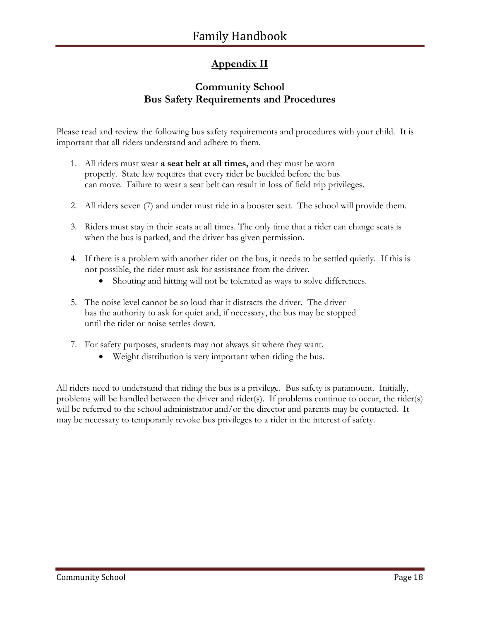# **Appendix II**

# **Community School Bus Safety Requirements and Procedures**

Please read and review the following bus safety requirements and procedures with your child. It is important that all riders understand and adhere to them.

- 1. All riders must wear **a seat belt at all times,** and they must be worn properly. State law requires that every rider be buckled before the bus can move. Failure to wear a seat belt can result in loss of field trip privileges.
- 2. All riders seven (7) and under must ride in a booster seat. The school will provide them.
- 3. Riders must stay in their seats at all times. The only time that a rider can change seats is when the bus is parked, and the driver has given permission.
- 4. If there is a problem with another rider on the bus, it needs to be settled quietly. If this is not possible, the rider must ask for assistance from the driver.
	- Shouting and hitting will not be tolerated as ways to solve differences.
- 5. The noise level cannot be so loud that it distracts the driver. The driver has the authority to ask for quiet and, if necessary, the bus may be stopped until the rider or noise settles down.
- 7. For safety purposes, students may not always sit where they want.
	- Weight distribution is very important when riding the bus.

All riders need to understand that riding the bus is a privilege. Bus safety is paramount. Initially, problems will be handled between the driver and rider(s). If problems continue to occur, the rider(s) will be referred to the school administrator and/or the director and parents may be contacted. It may be necessary to temporarily revoke bus privileges to a rider in the interest of safety.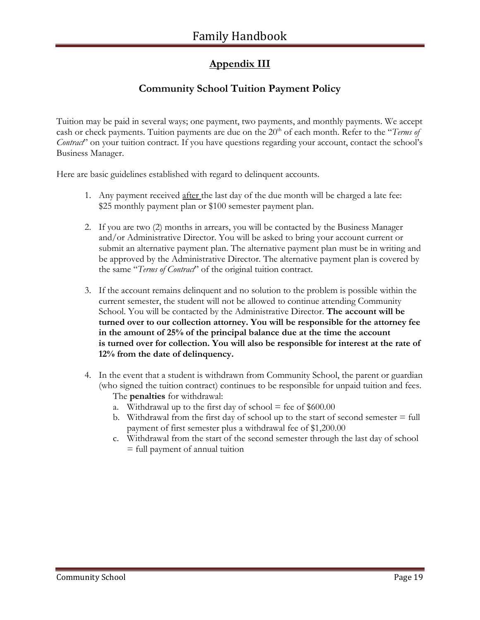# **Appendix III**

# **Community School Tuition Payment Policy**

Tuition may be paid in several ways; one payment, two payments, and monthly payments. We accept cash or check payments. Tuition payments are due on the 20<sup>th</sup> of each month. Refer to the "*Terms of Contract*" on your tuition contract. If you have questions regarding your account, contact the school's Business Manager.

Here are basic guidelines established with regard to delinquent accounts.

- 1. Any payment received <u>after t</u>he last day of the due month will be charged a late fee: \$25 monthly payment plan or \$100 semester payment plan.
- 2. If you are two (2) months in arrears, you will be contacted by the Business Manager and/or Administrative Director. You will be asked to bring your account current or submit an alternative payment plan. The alternative payment plan must be in writing and be approved by the Administrative Director. The alternative payment plan is covered by the same "*Terms of Contract*" of the original tuition contract.
- 3. If the account remains delinquent and no solution to the problem is possible within the current semester, the student will not be allowed to continue attending Community School. You will be contacted by the Administrative Director. **The account will be turned over to our collection attorney. You will be responsible for the attorney fee in the amount of 25% of the principal balance due at the time the account is turned over for collection. You will also be responsible for interest at the rate of 12% from the date of delinquency.**
- 4. In the event that a student is withdrawn from Community School, the parent or guardian (who signed the tuition contract) continues to be responsible for unpaid tuition and fees. The **penalties** for withdrawal:
	- a. Withdrawal up to the first day of school  $=$  fee of \$600.00
	- b. Withdrawal from the first day of school up to the start of second semester  $=$  full payment of first semester plus a withdrawal fee of \$1,200.00
	- c. Withdrawal from the start of the second semester through the last day of school = full payment of annual tuition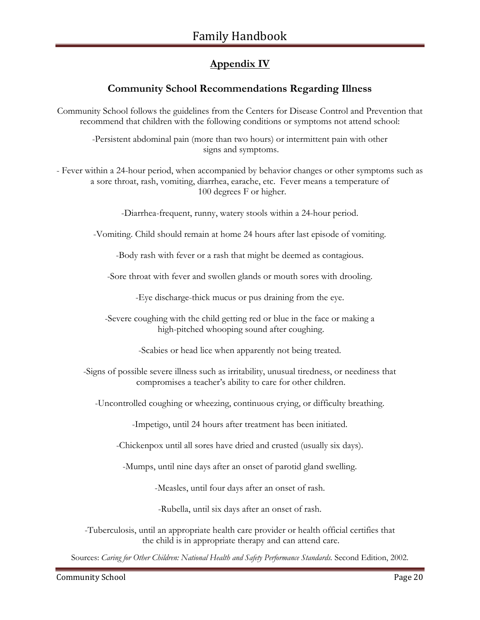# **Appendix IV**

# **Community School Recommendations Regarding Illness**

Community School follows the guidelines from the Centers for Disease Control and Prevention that recommend that children with the following conditions or symptoms not attend school:

-Persistent abdominal pain (more than two hours) or intermittent pain with other signs and symptoms.

- Fever within a 24-hour period, when accompanied by behavior changes or other symptoms such as a sore throat, rash, vomiting, diarrhea, earache, etc. Fever means a temperature of 100 degrees F or higher.

-Diarrhea-frequent, runny, watery stools within a 24-hour period.

-Vomiting. Child should remain at home 24 hours after last episode of vomiting.

-Body rash with fever or a rash that might be deemed as contagious.

-Sore throat with fever and swollen glands or mouth sores with drooling.

-Eye discharge-thick mucus or pus draining from the eye.

-Severe coughing with the child getting red or blue in the face or making a high-pitched whooping sound after coughing.

-Scabies or head lice when apparently not being treated.

-Signs of possible severe illness such as irritability, unusual tiredness, or neediness that compromises a teacher's ability to care for other children.

-Uncontrolled coughing or wheezing, continuous crying, or difficulty breathing.

-Impetigo, until 24 hours after treatment has been initiated.

-Chickenpox until all sores have dried and crusted (usually six days).

-Mumps, until nine days after an onset of parotid gland swelling.

-Measles, until four days after an onset of rash.

-Rubella, until six days after an onset of rash.

-Tuberculosis, until an appropriate health care provider or health official certifies that the child is in appropriate therapy and can attend care.

Sources: *Caring for Other Children: National Health and Safety Performance Standards.* Second Edition, 2002.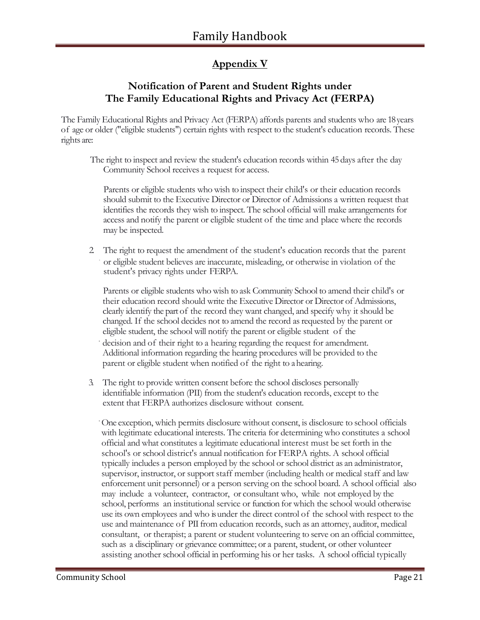# **Appendix V**

# **Notification of Parent and Student Rights under The Family Educational Rights and Privacy Act (FERPA)**

The Family Educational Rights and Privacy Act (FERPA) affords parents and students who are 18 years of age or older ("eligible students") certain rights with respect to the student's education records. These rights are:

The right to inspect and review the student's education records within 45 days after the day Community School receives a request for access.

Parents or eligible students who wish to inspect their child's or their education records should submit to the Executive Director or Director of Admissions a written request that identifies the records they wish to inspect. The school official will make arrangements for access and notify the parent or eligible student of the time and place where the records may be inspected.

2. The right to request the amendment of the student's education records that the parent or eligible student believes are inaccurate, misleading, or otherwise in violation of the student's privacy rights under FERPA.

Parents or eligible students who wish to ask Community School to amend their child's or their education record should write the Executive Director or Director of Admissions, clearly identify the part of the record they want changed, and specify why it should be changed. If the school decides not to amend the record as requested by the parent or eligible student, the school will notify the parent or eligible student of the

decision and of their right to a hearing regarding the request for amendment. Additional information regarding the hearing procedures will be provided to the parent or eligible student when notified of the right to ahearing.

3. The right to provide written consent before the school discloses personally identifiable information (PII) from the student's education records, except to the extent that FERPA authorizes disclosure without consent.

·One exception, which permits disclosure without consent, is disclosure to school officials with legitimate educational interests. The criteria for determining who constitutes a school official and what constitutes a legitimate educational interest must be set forth in the school's or school district's annual notification for FERPA rights. A school official typically includes a person employed by the school or school district as an administrator, supervisor, instructor, or support staff member (including health or medical staff and law enforcement unit personnel) or a person serving on the school board. A school official also may include a volunteer, contractor, or consultant who, while not employed by the school, performs an institutional service or function for which the school would otherwise use its own employees and who is under the direct control of the school with respect to the use and maintenance of PII from education records, such as an attorney, auditor, medical consultant, or therapist; a parent or student volunteering to serve on an official committee, such as a disciplinary or grievance committee; or a parent, student, or other volunteer assisting another school official in performing his or her tasks. A school official typically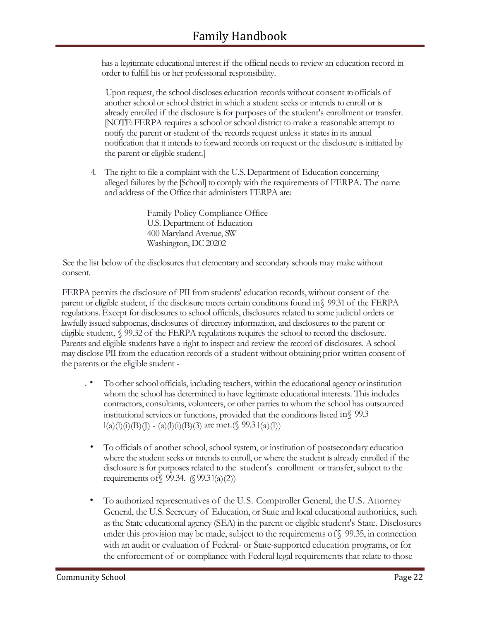has a legitimate educational interest if the official needs to review an education record in order to fulfill his or her professional responsibility.

Upon request, the school discloses education records without consent to officials of another school or school district in which a student seeks or intends to enroll or is already enrolled if the disclosure is for purposes of the student's enrollment or transfer. [NOTE: FERPA requires a school or school district to make a reasonable attempt to notify the parent or student of the records request unless it states in its annual notification that it intends to forward records on request or the disclosure is initiated by the parent or eligible student.]

4. The right to file a complaint with the U.S. Department of Education concerning alleged failures by the [School] to comply with the requirements of FERPA. The name and address of the Office that administers FERPA are:

> Family Policy Compliance Office U.S. Department of Education 400 Maryland Avenue, SW Washington, DC 20202

See the list below of the disclosures that elementary and secondary schools may make without consent.

FERPA permits the disclosure of PII from students' education records, without consent of the parent or eligible student, if the disclosure meets certain conditions found in§ 99.31 of the FERPA regulations. Except for disclosures to school officials, disclosures related to some judicial orders or lawfully issued subpoenas, disclosures of directory information, and disclosures to the parent or eligible student, § 99.32 of the FERPA regulations requires the school to record the disclosure. Parents and eligible students have a right to inspect and review the record of disclosures. A school may disclose PII from the education records of a student without obtaining prior written consent of the parents or the eligible student -

- . To other school officials, including teachers, within the educational agency or institution whom the school has determined to have legitimate educational interests. This includes contractors, consultants, volunteers, or other parties to whom the school has outsourced institutional services or functions, provided that the conditions listed in§ 99.3  $l(a)(l)(i)(B)(J) - (a)(l)(i)(B)(3)$  are met.(§ 99.3  $l(a)(l)$ )
- To officials of another school, school system, or institution of postsecondary education where the student seeks or intends to enroll, or where the student is already enrolled if the disclosure is for purposes related to the student's enrollment or transfer, subject to the requirements of  $\S$  99.34.  $(\S$  99.31(a)(2))
- To authorized representatives of the U.S. Comptroller General, the U.S. Attorney General, the U.S. Secretary of Education, or State and local educational authorities, such as the State educational agency (SEA) in the parent or eligible student's State. Disclosures under this provision may be made, subject to the requirements of§ 99.35, in connection with an audit or evaluation of Federal- or State-supported education programs, or for the enforcement of or compliance with Federal legal requirements that relate to those